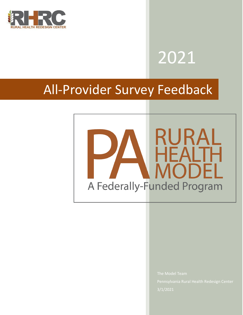

# 2021

# All-Provider Survey Feedback

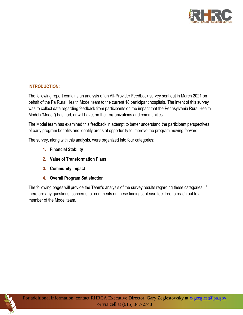

#### **INTRODUCTION:**

The following report contains an analysis of an All-Provider Feedback survey sent out in March 2021 on behalf of the Pa Rural Health Model team to the current 18 participant hospitals. The intent of this survey was to collect data regarding feedback from participants on the impact that the Pennsylvania Rural Health Model ("Model") has had, or will have, on their organizations and communities.

The Model team has examined this feedback in attempt to better understand the participant perspectives of early program benefits and identify areas of opportunity to improve the program moving forward.

The survey, along with this analysis, were organized into four categories:

- **1. Financial Stability**
- **2. Value of Transformation Plans**
- **3. Community Impact**
- **4. Overall Program Satisfaction**

The following pages will provide the Team's analysis of the survey results regarding these categories. If there are any questions, concerns, or comments on these findings, please feel free to reach out to a member of the Model team.

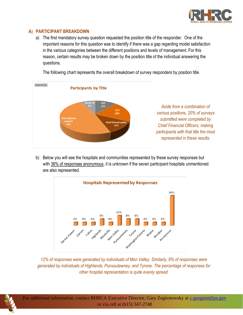

### **A) PARTICIPANT BREAKDOWN**

a) The first mandatory survey question requested the position title of the responder. One of the important reasons for this question was to identify if there was a gap regarding model satisfaction in the various categories between the different positions and levels of management. For this reason, certain results may be broken down by the position title of the individual answering the questions.





b) Below you will see the hospitals and communities represented by these survey responses but with 36% of responses anonymous, it is unknown if the seven participant hospitals unmentioned are also represented.



*12% of responses were generated by individuals of Mon Valley. Similarly, 8% of responses were generated by individuals of Highlands, Punxsutawney, and Tyrone. The percentage of responses for other hospital representation is quite evenly spread.*

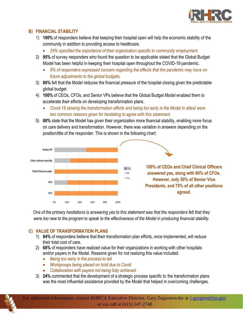

#### **B) FINANCIAL STABILITY**

- 1) **100%** of responders believe that keeping their hospital open will help the economic stability of the community in addition to providing access to healthcare.
	- *25% specified the importance of their organization specific to community employment.*
- 2) **95%** of survey responders who found the question to be applicable stated that the Global Budget Model has been helpful in keeping their hospital open throughout the COVID-19 pandemic.
	- 8% of responders expressed concern regarding the effects that the pandemic may have on *future adjustments to the global budgets.*
- 3) **80%** felt that the Model reduces the financial pressure of the hospital closing given the predictable global budget.
- 4) **100%** of CEOs, CFOs, and Senior VPs believe that the Global Budget Model enabled them to accelerate their efforts on developing transformation plans.
	- *Covid-19 slowing the transformation efforts and being too early in the Model to attest were two common reasons given for hesitating to agree with this statement.*
- 5) **80%** state that the Model has given their organization more financial stability, enabling more focus on care delivery and transformation. However, there was variation in answers depending on the position/title of the responder. This is shown in the following chart:



*One of the primary hesitations is answering yes to this statement was that the responders felt that they were too new to the program to speak to the effectiveness of the Model in producing financial stability.*

#### **C) VALUE OF TRANSFORMATION PLANS**

- 1) **84%** of responders believe that their transformation plan efforts, once implemented, will reduce their total cost of care.
- 2) **68%** of responders have realized value for their organizations in working with other hospitals and/or payers in the Model. Reasons given for not realizing this value included:
	- *Being too early in the process to tell*
	- *Workgroups being placed on hold due to Covid*
	- *Collaboration with payers not being fully achieved.*
- 3) **24%** commented that the development of a strategic process specific to the transformation plans was the most influential assistance provided by the Model that helped in overcoming challenges.

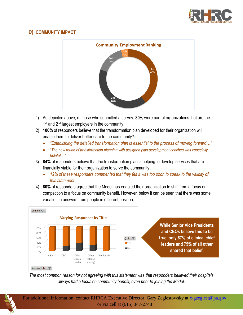

## **D) COMMUNITY IMPACT**



- 1) As depicted above, of those who submitted a survey, **80%** were part of organizations that are the 1<sup>st</sup> and 2<sup>nd</sup> largest employers in the community.
- 2) **100%** of responders believe that the transformation plan developed for their organization will enable them to deliver better care to the community?
	- *"Establishing the detailed transformation plan is essential to the process of moving forward…"*
	- *"The new round of transformation planning with assigned plan development coaches was especially helpful…"*
- 3) **84%** of responders believe that the transformation plan is helping to develop services that are financially viable for their organization to serve the community.
	- *12% of these responders commented that they felt it was too soon to speak to the validity of this statement.*
- 4) **80%** of responders agree that the Model has enabled their organization to shift from a focus on competition to a focus on community benefit. However, below it can be seen that there was some variation in answers from people in different position.



#### *The most common reason for not agreeing with this statement was that responders believed their hospitals always had a focus on community benefit, even prior to joining the Model.*

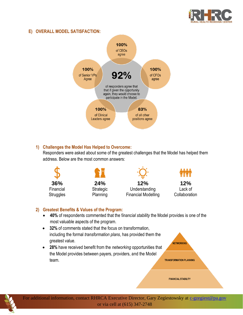

#### **E) OVERALL MODEL SATISFACTION:**



#### **1) Challenges the Model Has Helped to Overcome:**

Responders were asked about some of the greatest challenges that the Model has helped them address. Below are the most common answers:



#### **2) Greatest Benefits & Values of the Program:**

• **40%** of respondents commented that the f*inancial stability* the Model provides is one of the most valuable aspects of the program.

**NETWORKING** 

**FINANCIAL STABILITY** 

- **32%** of comments stated that the focus on transformation, including the formal *transformation plans*, has provided them the greatest value.
- **28%** have received benefit from the *networking* opportunities that the Model provides between payers, providers, and the Model team. **TRANSFORMATION PLANNING**

For additional information, contact RHRCA Executive Director, Gary Zegiestowsky at [c-gzegiest@pa.gov](mailto:c-gzegiest@pa.gov) or via cell at (615) 347-2748